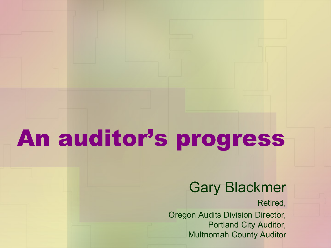# An auditor's progress

#### Gary Blackmer

Retired,

Oregon Audits Division Director, Portland City Auditor, Multnomah County Auditor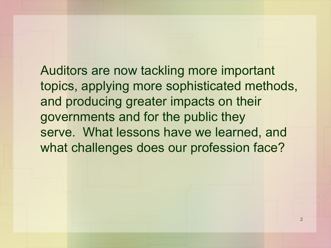Auditors are now tackling more important topics, applying more sophisticated methods, and producing greater impacts on their governments and for the public they serve. What lessons have we learned, and what challenges does our profession face?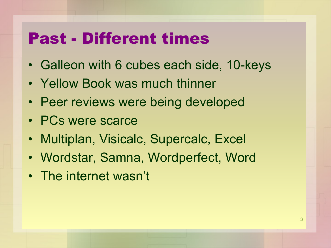## Past - Different times

- Galleon with 6 cubes each side, 10-keys
- Yellow Book was much thinner
- Peer reviews were being developed
- PCs were scarce
- Multiplan, Visicalc, Supercalc, Excel
- Wordstar, Samna, Wordperfect, Word
- The internet wasn't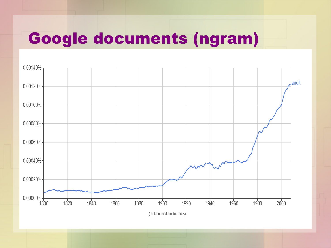# Google documents (ngram)



(click on line/label for focus)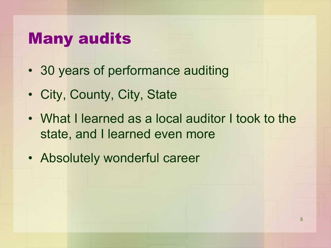#### Many audits

- 30 years of performance auditing
- City, County, City, State
- What I learned as a local auditor I took to the state, and I learned even more
- Absolutely wonderful career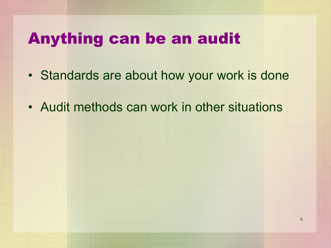#### Anything can be an audit

- Standards are about how your work is done
- Audit methods can work in other situations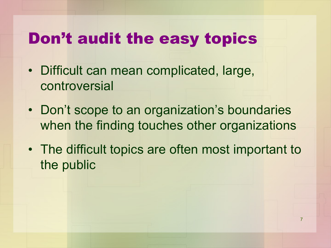# Don't audit the easy topics

- Difficult can mean complicated, large, controversial
- Don't scope to an organization's boundaries when the finding touches other organizations
- The difficult topics are often most important to the public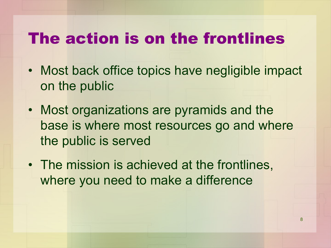#### The action is on the frontlines

- Most back office topics have negligible impact on the public
- Most organizations are pyramids and the base is where most resources go and where the public is served
- The mission is achieved at the frontlines, where you need to make a difference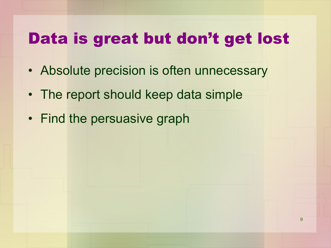# Data is great but don't get lost

- Absolute precision is often unnecessary
- The report should keep data simple
- Find the persuasive graph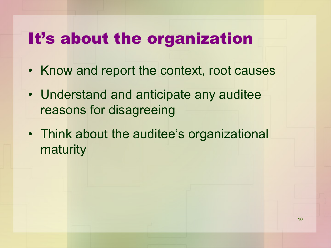# It's about the organization

- Know and report the context, root causes
- Understand and anticipate any auditee reasons for disagreeing
- Think about the auditee's organizational maturity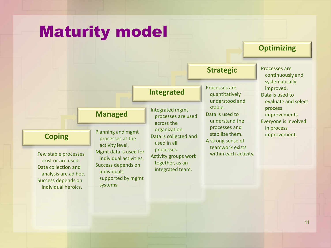#### Maturity model



**Optimizing**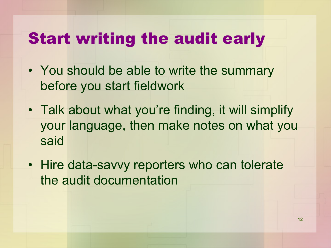# Start writing the audit early

- You should be able to write the summary before you start fieldwork
- Talk about what you're finding, it will simplify your language, then make notes on what you said
- Hire data-savvy reporters who can tolerate the audit documentation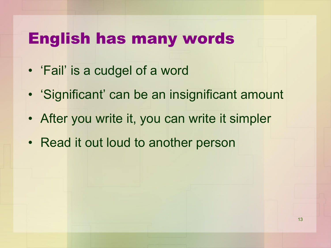#### English has many words

- 'Fail' is a cudgel of a word
- 'Significant' can be an insignificant amount
- After you write it, you can write it simpler
- Read it out loud to another person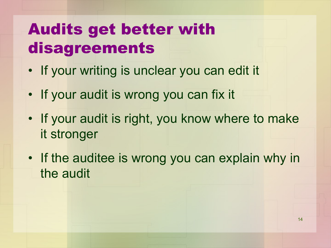# Audits get better with disagreements

- If your writing is unclear you can edit it
- If your audit is wrong you can fix it
- If your audit is right, you know where to make it stronger
- If the auditee is wrong you can explain why in the audit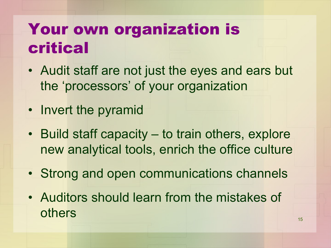# Your own organization is critical

- Audit staff are not just the eyes and ears but the 'processors' of your organization
- Invert the pyramid
- Build staff capacity to train others, explore new analytical tools, enrich the office culture
- Strong and open communications channels
- Auditors should learn from the mistakes of others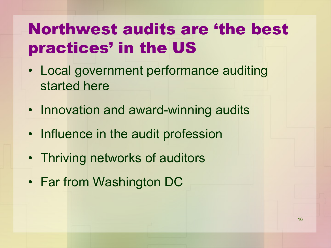# Northwest audits are 'the best practices' in the US

- Local government performance auditing started here
- Innovation and award-winning audits
- Influence in the audit profession
- Thriving networks of auditors
- Far from Washington DC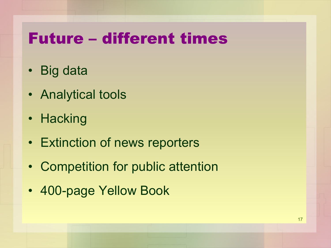# Future – different times

- Big data
- Analytical tools
- Hacking
- Extinction of news reporters
- Competition for public attention
- 400-page Yellow Book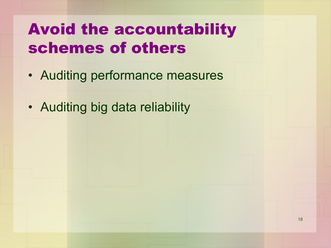# Avoid the accountability schemes of others

- Auditing performance measures
- Auditing big data reliability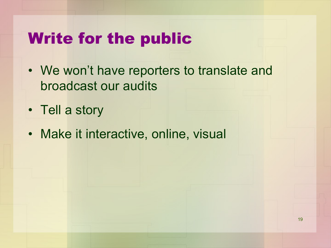# Write for the public

- We won't have reporters to translate and broadcast our audits
- Tell a story
- Make it interactive, online, visual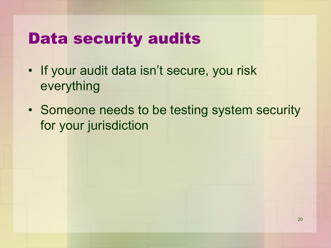# Data security audits

- If your audit data isn't secure, you risk everything
- Someone needs to be testing system security for your jurisdiction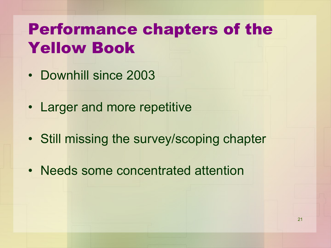# Performance chapters of the Yellow Book

- Downhill since 2003
- Larger and more repetitive
- Still missing the survey/scoping chapter
- Needs some concentrated attention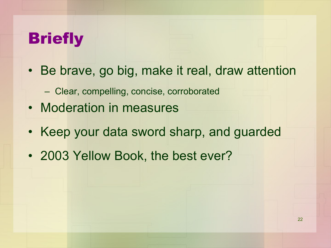# **Briefly**

- Be brave, go big, make it real, draw attention
	- Clear, compelling, concise, corroborated
- Moderation in measures
- Keep your data sword sharp, and guarded
- 2003 Yellow Book, the best ever?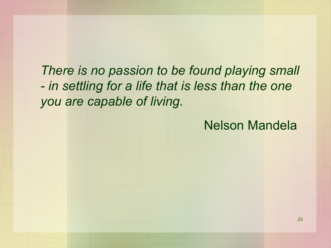*There is no passion to be found playing small - in settling for a life that is less than the one you are capable of living.*

Nelson Mandela